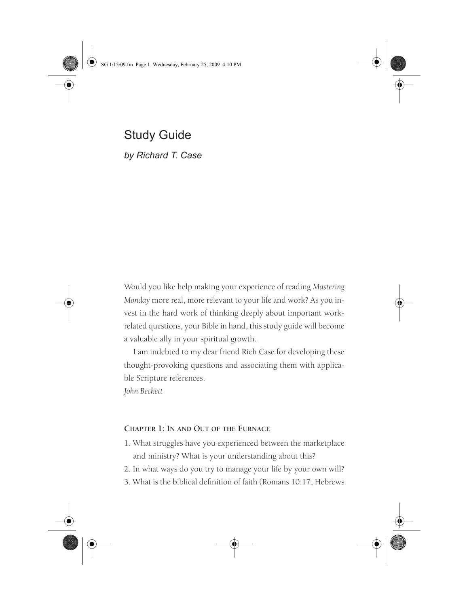SG 1/15/09.fm Page 1 Wednesday, February 25, 2009 4:10 PM

Study Guide *by Richard T. Case*

Would you like help making your experience of reading *Mastering Monday* more real, more relevant to your life and work? As you invest in the hard work of thinking deeply about important workrelated questions, your Bible in hand, this study guide will become a valuable ally in your spiritual growth.

I am indebted to my dear friend Rich Case for developing these thought-provoking questions and associating them with applicable Scripture references.

*John Beckett*

# **CHAPTER 1: IN AND OUT OF THE FURNACE**

- 1. What struggles have you experienced between the marketplace and ministry? What is your understanding about this?
- 2. In what ways do you try to manage your life by your own will?
- 3. What is the biblical definition of faith (Romans 10:17; Hebrews

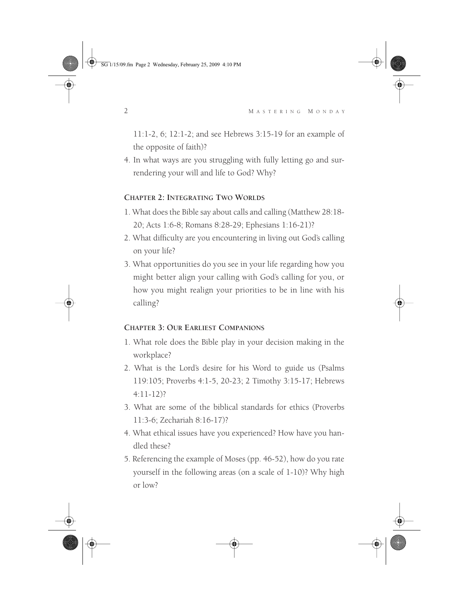SG 1/15/09.fm Page 2 Wednesday, February 25, 2009 4:10 PM

11:1-2, 6; 12:1-2; and see Hebrews 3:15-19 for an example of the opposite of faith)?

4. In what ways are you struggling with fully letting go and surrendering your will and life to God? Why?

#### **CHAPTER 2: INTEGRATING TWO WORLDS**

- 1. What does the Bible say about calls and calling (Matthew 28:18- 20; Acts 1:6-8; Romans 8:28-29; Ephesians 1:16-21)?
- 2. What difficulty are you encountering in living out God's calling on your life?
- 3. What opportunities do you see in your life regarding how you might better align your calling with God's calling for you, or how you might realign your priorities to be in line with his calling?

## **CHAPTER 3: OUR EARLIEST COMPANIONS**

- 1. What role does the Bible play in your decision making in the workplace?
- 2. What is the Lord's desire for his Word to guide us (Psalms 119:105; Proverbs 4:1-5, 20-23; 2 Timothy 3:15-17; Hebrews 4:11-12)?
- 3. What are some of the biblical standards for ethics (Proverbs 11:3-6; Zechariah 8:16-17)?
- 4. What ethical issues have you experienced? How have you handled these?
- 5. Referencing the example of Moses (pp. 46-52), how do you rate yourself in the following areas (on a scale of 1-10)? Why high or low?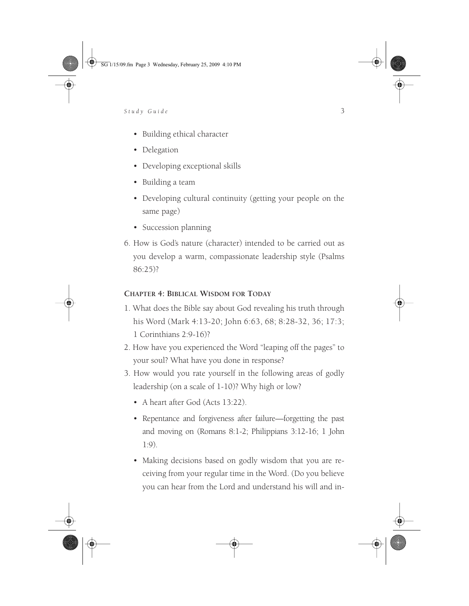SG 1/15/09.fm Page 3 Wednesday, February 25, 2009 4:10 PM

# *Study Guide* 3

- Building ethical character
- Delegation
- Developing exceptional skills
- Building a team
- Developing cultural continuity (getting your people on the same page)
- Succession planning
- 6. How is God's nature (character) intended to be carried out as you develop a warm, compassionate leadership style (Psalms 86:25)?

# **CHAPTER 4: BIBLICAL WISDOM FOR TODAY**

- 1. What does the Bible say about God revealing his truth through his Word (Mark 4:13-20; John 6:63, 68; 8:28-32, 36; 17:3; 1 Corinthians 2:9-16)?
- 2. How have you experienced the Word "leaping off the pages" to your soul? What have you done in response?
- 3. How would you rate yourself in the following areas of godly leadership (on a scale of 1-10)? Why high or low?
	- A heart after God (Acts 13:22).
	- Repentance and forgiveness after failure—forgetting the past and moving on (Romans 8:1-2; Philippians 3:12-16; 1 John 1:9).
	- Making decisions based on godly wisdom that you are receiving from your regular time in the Word. (Do you believe you can hear from the Lord and understand his will and in-

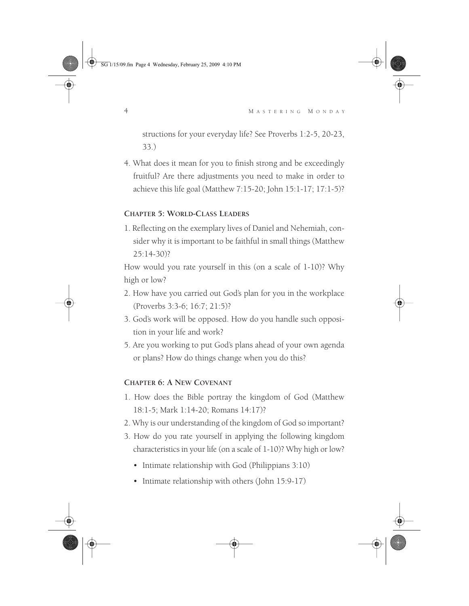SG 1/15/09.fm Page 4 Wednesday, February 25, 2009 4:10 PM

4 M ASTERING M ONDAY

structions for your everyday life? See Proverbs 1:2-5, 20-23, 33.)

4. What does it mean for you to finish strong and be exceedingly fruitful? Are there adjustments you need to make in order to achieve this life goal (Matthew 7:15-20; John 15:1-17; 17:1-5)?

#### **CHAPTER 5: WORLD-CLASS LEADERS**

1. Reflecting on the exemplary lives of Daniel and Nehemiah, consider why it is important to be faithful in small things (Matthew 25:14-30)?

How would you rate yourself in this (on a scale of 1-10)? Why high or low?

- 2. How have you carried out God's plan for you in the workplace (Proverbs 3:3-6; 16:7; 21:5)?
- 3. God's work will be opposed. How do you handle such opposition in your life and work?
- 5. Are you working to put God's plans ahead of your own agenda or plans? How do things change when you do this?

#### **CHAPTER 6: A NEW COVENANT**

- 1. How does the Bible portray the kingdom of God (Matthew 18:1-5; Mark 1:14-20; Romans 14:17)?
- 2. Why is our understanding of the kingdom of God so important?
- 3. How do you rate yourself in applying the following kingdom characteristics in your life (on a scale of 1-10)? Why high or low?
	- Intimate relationship with God (Philippians 3:10)
	- Intimate relationship with others (John 15:9-17)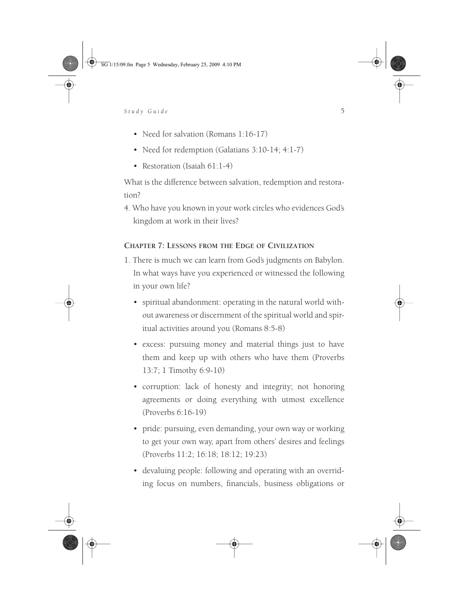SG 1/15/09.fm Page 5 Wednesday, February 25, 2009 4:10 PM

# *Study Guide* 5

- Need for salvation (Romans 1:16-17)
- Need for redemption (Galatians 3:10-14; 4:1-7)
- Restoration (Isaiah 61:1-4)

What is the difference between salvation, redemption and restoration?

4. Who have you known in your work circles who evidences God's kingdom at work in their lives?

# **CHAPTER 7: LESSONS FROM THE EDGE OF CIVILIZATION**

- 1. There is much we can learn from God's judgments on Babylon. In what ways have you experienced or witnessed the following in your own life?
	- spiritual abandonment: operating in the natural world without awareness or discernment of the spiritual world and spiritual activities around you (Romans 8:5-8)
	- excess: pursuing money and material things just to have them and keep up with others who have them (Proverbs 13:7; 1 Timothy 6:9-10)
	- corruption: lack of honesty and integrity; not honoring agreements or doing everything with utmost excellence (Proverbs 6:16-19)
	- pride: pursuing, even demanding, your own way or working to get your own way, apart from others' desires and feelings (Proverbs 11:2; 16:18; 18:12; 19:23)
	- devaluing people: following and operating with an overriding focus on numbers, financials, business obligations or

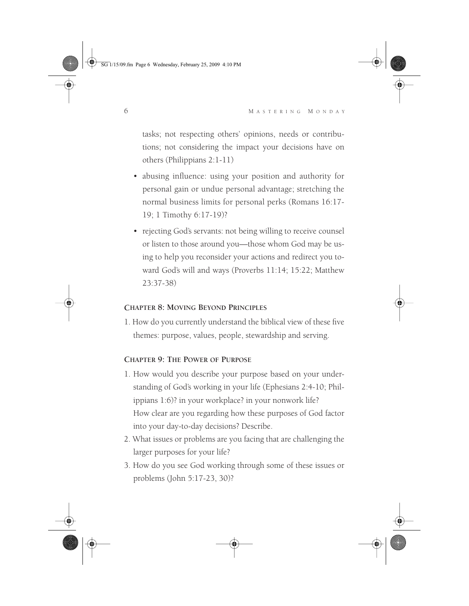SG 1/15/09.fm Page 6 Wednesday, February 25, 2009 4:10 PM



tasks; not respecting others' opinions, needs or contributions; not considering the impact your decisions have on others (Philippians 2:1-11)

- abusing influence: using your position and authority for personal gain or undue personal advantage; stretching the normal business limits for personal perks (Romans 16:17- 19; 1 Timothy 6:17-19)?
- rejecting God's servants: not being willing to receive counsel or listen to those around you—those whom God may be using to help you reconsider your actions and redirect you toward God's will and ways (Proverbs 11:14; 15:22; Matthew 23:37-38)

## **CHAPTER 8: MOVING BEYOND PRINCIPLES**

1. How do you currently understand the biblical view of these five themes: purpose, values, people, stewardship and serving.

#### **CHAPTER 9: THE POWER OF PURPOSE**

- 1. How would you describe your purpose based on your understanding of God's working in your life (Ephesians 2:4-10; Philippians 1:6)? in your workplace? in your nonwork life? How clear are you regarding how these purposes of God factor into your day-to-day decisions? Describe.
- 2. What issues or problems are you facing that are challenging the larger purposes for your life?
- 3. How do you see God working through some of these issues or problems (John 5:17-23, 30)?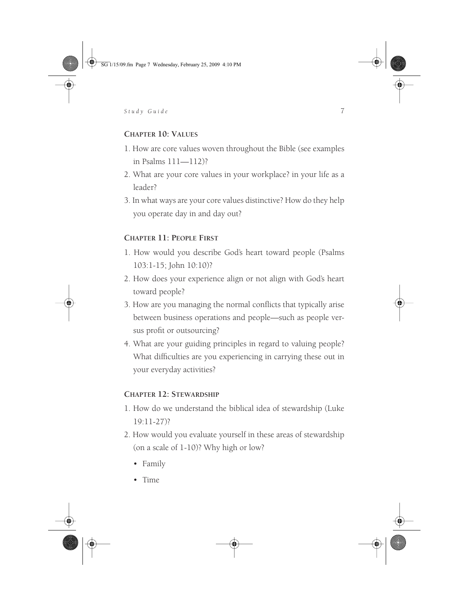SG 1/15/09.fm Page 7 Wednesday, February 25, 2009 4:10 PM



#### **CHAPTER 10: VALUES**

- 1. How are core values woven throughout the Bible (see examples in Psalms 111—112)?
- 2. What are your core values in your workplace? in your life as a leader?
- 3. In what ways are your core values distinctive? How do they help you operate day in and day out?

### **CHAPTER 11: PEOPLE FIRST**

- 1. How would you describe God's heart toward people (Psalms 103:1-15; John 10:10)?
- 2. How does your experience align or not align with God's heart toward people?
- 3. How are you managing the normal conflicts that typically arise between business operations and people—such as people versus profit or outsourcing?
- 4. What are your guiding principles in regard to valuing people? What difficulties are you experiencing in carrying these out in your everyday activities?

#### **CHAPTER 12: STEWARDSHIP**

- 1. How do we understand the biblical idea of stewardship (Luke 19:11-27)?
- 2. How would you evaluate yourself in these areas of stewardship (on a scale of 1-10)? Why high or low?
	- Family
	- Time